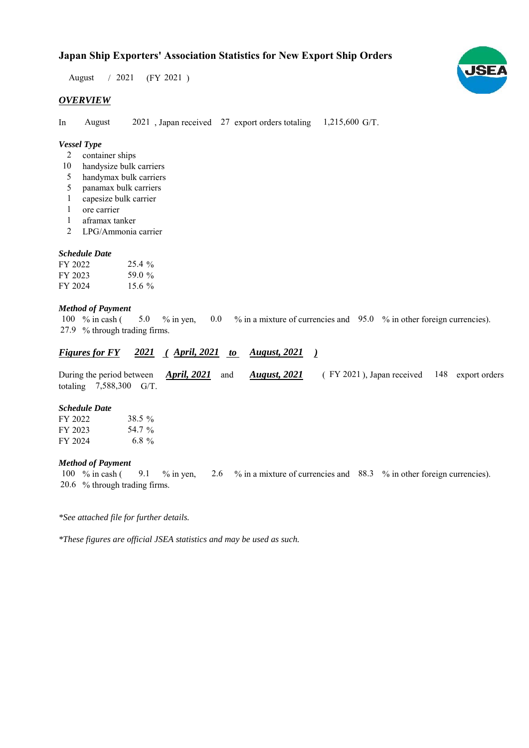$/ 2021$  (FY 2021) August

# *OVERVIEW*

In August 2021, Japan received 27 export orders totaling 1,215,600 G/T. August

# *Vessel Type*

- container ships 2
- 10 handysize bulk carriers
- handymax bulk carriers 5
- panamax bulk carriers 5
- capesize bulk carrier 1
- ore carrier 1
- aframax tanker 1
- LPG/Ammonia carrier 2

#### *Schedule Date*

| FY 2022. | $25.4\%$  |
|----------|-----------|
| FY 2023  | 59.0 %    |
| FY 2024  | 15.6 $\%$ |

#### *Method of Payment*

100 % in cash (5.0 % in yen, 0.0 % in a mixture of currencies and 95.0 % in other foreign currencies). % through trading firms. 27.9 5.0 % in yen,

#### *Figures for FY* 2021 (*April, 2021 to August, 2021* ) *August, 2021*

During the period between **April, 2021** and **August, 2021** (FY 2021), Japan received 148 export orders totaling  $7,588,300$  G/T. *August, 2021 April, 2021*

#### *Schedule Date*

| FY 2022 | 38.5 %   |
|---------|----------|
| FY 2023 | 54.7 %   |
| FY 2024 | 6.8 $\%$ |

#### *Method of Payment*

% in cash ( $\frac{9.1}{8}$  % in yen,  $\frac{2.6}{8}$  % in a mixture of currencies and  $\frac{88.3}{8}$  % in other foreign currencies). % through trading firms. 20.6 100 % in cash (

*\*See attached file for further details.*

*\*These figures are official JSEA statistics and may be used as such.*

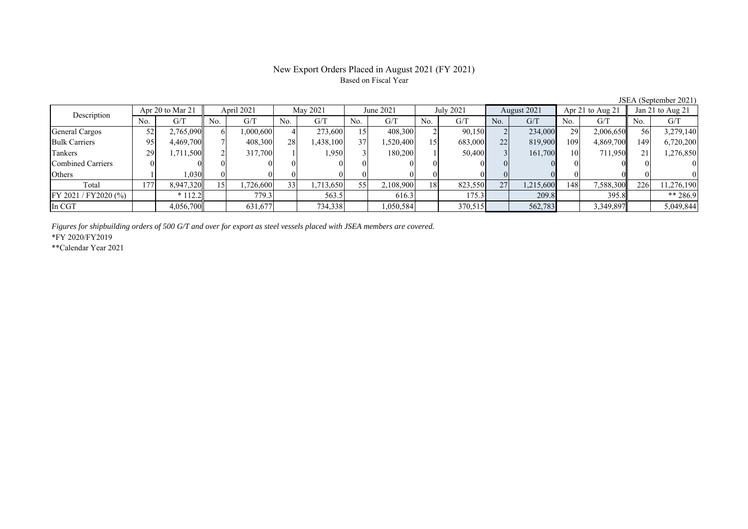### New Export Orders Placed in August 2021 (FY 2021) Based on Fiscal Year

No. G/T No. G/T No. G/T No. G/T No. G/T No. G/T No. G/T No. G/T General Cargos ( 52 2,765,090 6 1,000,600 4 273,600 15 408,300 2 90,150 2 234,000 29 2,006,650 56 3,279,140 Bulk Carriers 95 4,469,700 7 408,300 28 1,438,100 37 1,520,400 15 683,000 22 819,900 109 4,869,700 149 6,720,200 Tankers | 29 1,711,500 2 2 317,700 1 1,950 3 180,200 1 50,400 3 161,700 10 711,950 21 1,276,850 Combined Carriers 0 0 0 0 0 0 0 0 0 0 0 0 0 0 0 0 Others 1 1,030 0 0 0 0 0 0 0 0 0 0 0 0 0 0 Total 177 8,947,320 15 1,726,600 33 1,713,650 55 2,108,900 18 823,550 27 1,215,600 148 7,588,300 226 11,276,190 FY 2021 / FY2020 (%) \* 112.2 779.3 563.5 616.3 175.3 209.8 395.8 \*\* 286.9 In CGT 4,056,700 631,677 734,338 1,050,584 370,515 562,783 3,349,897 5,049,844 Description Apr<sup>20</sup> to Mar<sup>21</sup> April 2021 May 2021 June 2021<br>No. 6/T No. 6/T No. 6/T No. 6/T No. 6/T July 2021 August 2021 Apr 21 to Aug 21 Jan 21 to Aug 21

*Figures for shipbuilding orders of 500 G/T and over for export as steel vessels placed with JSEA members are covered.*

\*FY 2020/FY2019

\*\*Calendar Year 2021

JSEA (September 2021)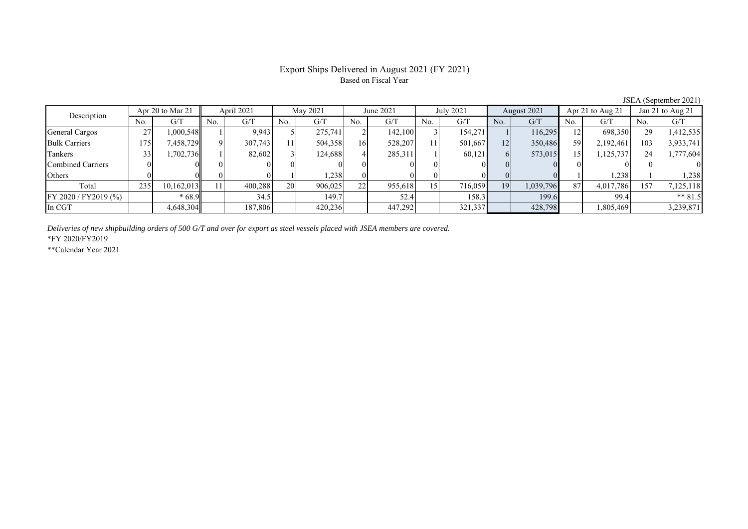### Export Ships Delivered in August 2021 (FY 2021) Based on Fiscal Year

No. G/T No. G/T No. G/T No. G/T No. G/T No. G/T No. G/T No. G/T General Cargos ( 27 1,000,548 1 9,943 5 275,741 2 142,100 3 154,271 1 116,295 12 698,350 29 1,412,535 Bulk Carriers 175 7,458,729 9 307,743 11 504,358 16 528,207 11 501,667 12 350,486 59 2,192,461 103 3,933,741 Tankers | 33| 1,702,736|| 1| 82,602| 3| 124,688| 4| 285,311| 1| 60,121| 6| 573,015| 15| 1,125,737| 24| 1,777,604 Combined Carriers 0 0 0 0 0 0 0 0 0 0 0 0 0 0 0 0 Others ( 0 0 0 0 0 1 1,238 0 0 0 0 0 0 1 1,238 1 1,238 Total | 235| 10,162,013|| 11| 400,288| 20| 906,025| 22| 955,618| 15| 716,059| 19| 1,039,796| 87| 4,017,786| 157| 7,125,118 FY 2020 / FY2019 (%) \* 68.9 34.5 149.7 149.7 52.4 158.3 199.6 99.4 \*\* 81.5 In CGT 4,648,304 | 187,806 | 420,236 | | 447,292 | 321,337 | | 428,798 | | 3,85,469 | | 3,239,871 Apr 20 to Mar 21 April 2021 May 2021 June 2021 July 2021 August 2021 Apr 21 to Aug 21 Jan 21 to Aug 21 Description

*Deliveries of new shipbuilding orders of 500 G/T and over for export as steel vessels placed with JSEA members are covered.*

\*FY 2020/FY2019

\*\*Calendar Year 2021

JSEA (September 2021)